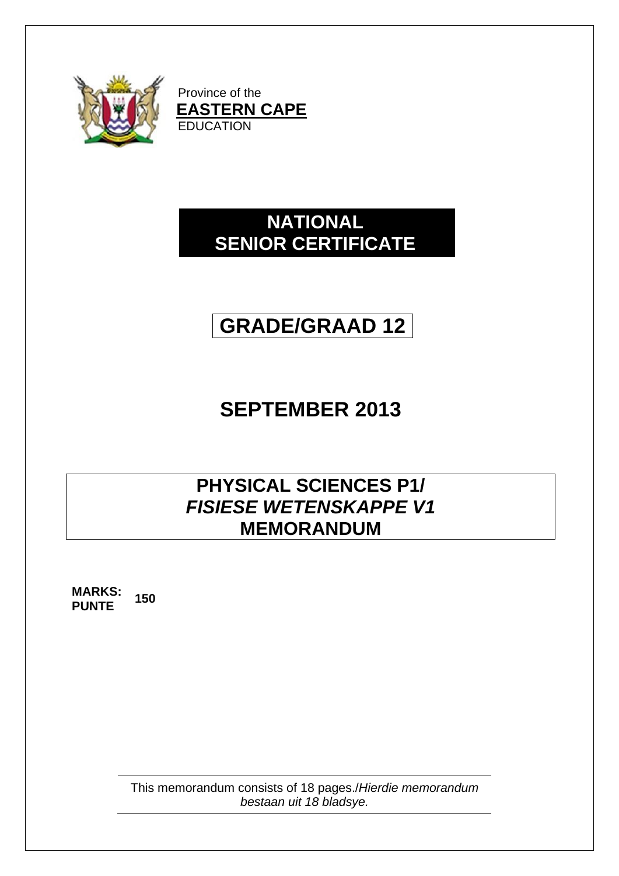

Province of the **EASTERN CAPE** EDUCATION

# **NATIONAL SENIOR CERTIFICATE**

# **GRADE/GRAAD 12**

# **SEPTEMBER 2013**

# **PHYSICAL SCIENCES P1/** *FISIESE WETENSKAPPE V1* **MEMORANDUM**

**MARKS: PUNTE <sup>150</sup>**

> This memorandum consists of 18 pages./*Hierdie memorandum bestaan uit 18 bladsye.*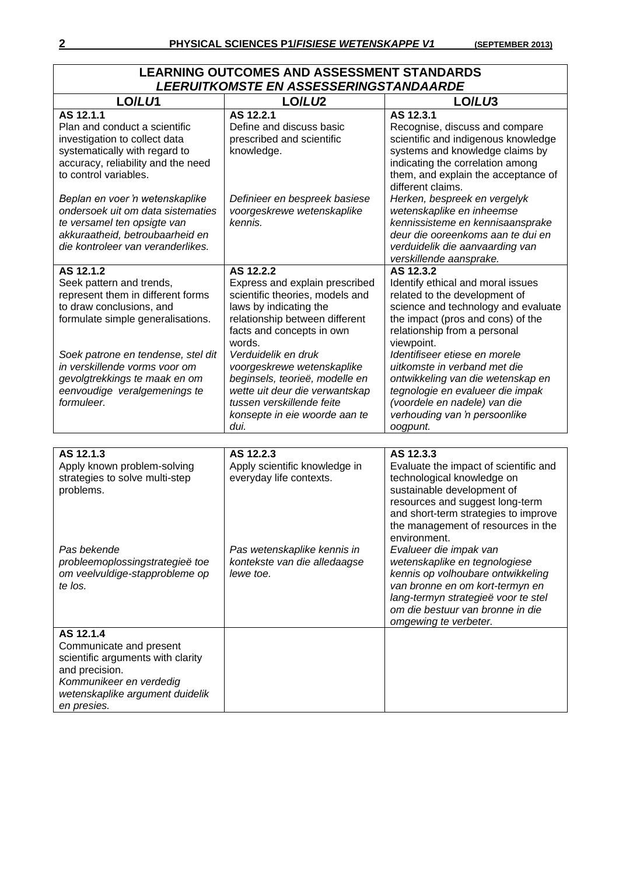|                                                                                                                                                                                                                                                                                                   | LEARNING OUTCOMES AND ASSESSMENT STANDARDS<br><b>LEERUITKOMSTE EN ASSESSERINGSTANDAARDE</b>                                                                                                                                                                                                                                                                                      |                                                                                                                                                                                                                                                                                                                                                                                                                                  |
|---------------------------------------------------------------------------------------------------------------------------------------------------------------------------------------------------------------------------------------------------------------------------------------------------|----------------------------------------------------------------------------------------------------------------------------------------------------------------------------------------------------------------------------------------------------------------------------------------------------------------------------------------------------------------------------------|----------------------------------------------------------------------------------------------------------------------------------------------------------------------------------------------------------------------------------------------------------------------------------------------------------------------------------------------------------------------------------------------------------------------------------|
| LO/LU1                                                                                                                                                                                                                                                                                            | LO/LU <sub>2</sub>                                                                                                                                                                                                                                                                                                                                                               | LO/LU3                                                                                                                                                                                                                                                                                                                                                                                                                           |
| AS 12.1.1<br>Plan and conduct a scientific<br>investigation to collect data<br>systematically with regard to<br>accuracy, reliability and the need<br>to control variables.                                                                                                                       | AS 12.2.1<br>Define and discuss basic<br>prescribed and scientific<br>knowledge.                                                                                                                                                                                                                                                                                                 | AS 12.3.1<br>Recognise, discuss and compare<br>scientific and indigenous knowledge<br>systems and knowledge claims by<br>indicating the correlation among<br>them, and explain the acceptance of<br>different claims.                                                                                                                                                                                                            |
| Beplan en voer 'n wetenskaplike<br>ondersoek uit om data sistematies<br>te versamel ten opsigte van<br>akkuraatheid, betroubaarheid en<br>die kontroleer van veranderlikes.                                                                                                                       | Definieer en bespreek basiese<br>voorgeskrewe wetenskaplike<br>kennis.                                                                                                                                                                                                                                                                                                           | Herken, bespreek en vergelyk<br>wetenskaplike en inheemse<br>kennissisteme en kennisaansprake<br>deur die ooreenkoms aan te dui en<br>verduidelik die aanvaarding van<br>verskillende aansprake.                                                                                                                                                                                                                                 |
| AS 12.1.2<br>Seek pattern and trends,<br>represent them in different forms<br>to draw conclusions, and<br>formulate simple generalisations.<br>Soek patrone en tendense, stel dit<br>in verskillende vorms voor om<br>gevolgtrekkings te maak en om<br>eenvoudige veralgemenings te<br>formuleer. | AS 12.2.2<br>Express and explain prescribed<br>scientific theories, models and<br>laws by indicating the<br>relationship between different<br>facts and concepts in own<br>words.<br>Verduidelik en druk<br>voorgeskrewe wetenskaplike<br>beginsels, teorieë, modelle en<br>wette uit deur die verwantskap<br>tussen verskillende feite<br>konsepte in eie woorde aan te<br>dui. | AS 12.3.2<br>Identify ethical and moral issues<br>related to the development of<br>science and technology and evaluate<br>the impact (pros and cons) of the<br>relationship from a personal<br>viewpoint.<br>Identifiseer etiese en morele<br>uitkomste in verband met die<br>ontwikkeling van die wetenskap en<br>tegnologie en evalueer die impak<br>(voordele en nadele) van die<br>verhouding van 'n persoonlike<br>oogpunt. |
|                                                                                                                                                                                                                                                                                                   |                                                                                                                                                                                                                                                                                                                                                                                  |                                                                                                                                                                                                                                                                                                                                                                                                                                  |
| AS 12.1.3<br>Apply known problem-solving<br>strategies to solve multi-step<br>problems.                                                                                                                                                                                                           | AS 12.2.3<br>Apply scientific knowledge in<br>everyday life contexts.                                                                                                                                                                                                                                                                                                            | AS 12.3.3<br>Evaluate the impact of scientific and<br>technological knowledge on<br>sustainable development of<br>resources and suggest long-term<br>and short-term strategies to improve<br>the management of resources in the<br>environment.                                                                                                                                                                                  |
| Pas bekende<br>probleemoplossingstrategieë toe<br>om veelvuldige-stapprobleme op<br>te los.                                                                                                                                                                                                       | Pas wetenskaplike kennis in<br>kontekste van die alledaagse<br>lewe toe.                                                                                                                                                                                                                                                                                                         | Evalueer die impak van<br>wetenskaplike en tegnologiese<br>kennis op volhoubare ontwikkeling<br>van bronne en om kort-termyn en<br>lang-termyn strategieë voor te stel<br>om die bestuur van bronne in die<br>omgewing te verbeter.                                                                                                                                                                                              |
| AS 12.1.4<br>Communicate and present<br>scientific arguments with clarity<br>and precision.<br>Kommunikeer en verdedig<br>wetenskaplike argument duidelik<br>en presies.                                                                                                                          |                                                                                                                                                                                                                                                                                                                                                                                  |                                                                                                                                                                                                                                                                                                                                                                                                                                  |

# **LEARNING OUTCOMES AND ASSESSMENT STANDARDS**

 $\Box$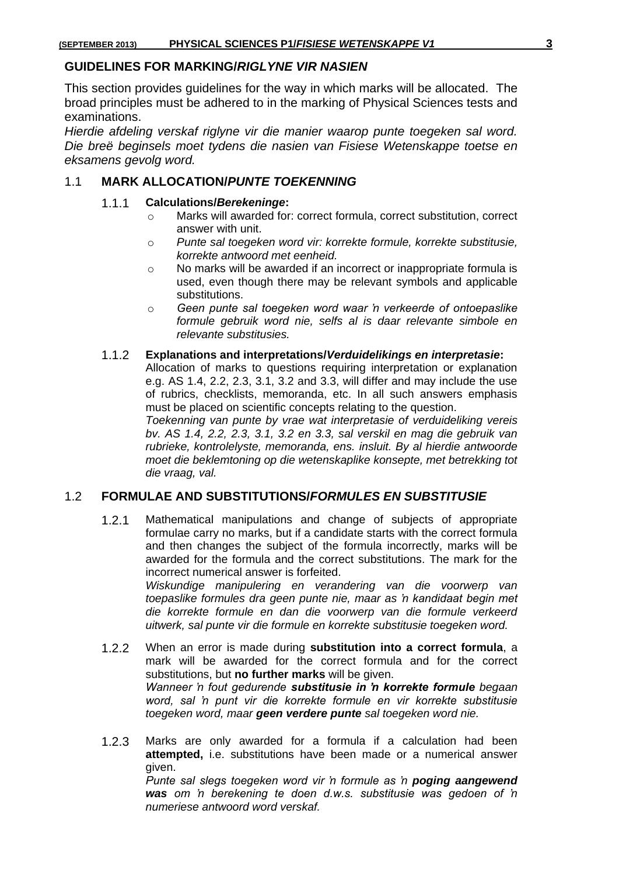#### **GUIDELINES FOR MARKING/***RIGLYNE VIR NASIEN*

This section provides guidelines for the way in which marks will be allocated. The broad principles must be adhered to in the marking of Physical Sciences tests and examinations.

*Hierdie afdeling verskaf riglyne vir die manier waarop punte toegeken sal word. Die breë beginsels moet tydens die nasien van Fisiese Wetenskappe toetse en eksamens gevolg word.*

#### 1.1 **MARK ALLOCATION/***PUNTE TOEKENNING*

#### 1.1.1 **Calculations/***Berekeninge***:**

- o Marks will awarded for: correct formula, correct substitution, correct answer with unit.
- o *Punte sal toegeken word vir: korrekte formule, korrekte substitusie, korrekte antwoord met eenheid.*
- o No marks will be awarded if an incorrect or inappropriate formula is used, even though there may be relevant symbols and applicable substitutions.
- o *Geen punte sal toegeken word waar 'n verkeerde of ontoepaslike formule gebruik word nie, selfs al is daar relevante simbole en relevante substitusies.*

#### 1.1.2 **Explanations and interpretations/***Verduidelikings en interpretasie***:**

Allocation of marks to questions requiring interpretation or explanation e.g. AS 1.4, 2.2, 2.3, 3.1, 3.2 and 3.3, will differ and may include the use of rubrics, checklists, memoranda, etc. In all such answers emphasis must be placed on scientific concepts relating to the question.

*Toekenning van punte by vrae wat interpretasie of verduideliking vereis bv. AS 1.4, 2.2, 2.3, 3.1, 3.2 en 3.3, sal verskil en mag die gebruik van rubrieke, kontrolelyste, memoranda, ens. insluit. By al hierdie antwoorde moet die beklemtoning op die wetenskaplike konsepte, met betrekking tot die vraag, val.*

#### 1.2 **FORMULAE AND SUBSTITUTIONS/***FORMULES EN SUBSTITUSIE*

1.2.1 Mathematical manipulations and change of subjects of appropriate formulae carry no marks, but if a candidate starts with the correct formula and then changes the subject of the formula incorrectly, marks will be awarded for the formula and the correct substitutions. The mark for the incorrect numerical answer is forfeited. *Wiskundige manipulering en verandering van die voorwerp van* 

*toepaslike formules dra geen punte nie, maar as 'n kandidaat begin met die korrekte formule en dan die voorwerp van die formule verkeerd uitwerk, sal punte vir die formule en korrekte substitusie toegeken word.*

- 1.2.2 When an error is made during **substitution into a correct formula**, a mark will be awarded for the correct formula and for the correct substitutions, but **no further marks** will be given. *Wanneer 'n fout gedurende substitusie in 'n korrekte formule begaan word, sal 'n punt vir die korrekte formule en vir korrekte substitusie toegeken word, maar geen verdere punte sal toegeken word nie.*
- 1.2.3 Marks are only awarded for a formula if a calculation had been **attempted,** i.e. substitutions have been made or a numerical answer given. *Punte sal slegs toegeken word vir 'n formule as 'n poging aangewend*

*was om 'n berekening te doen d.w.s. substitusie was gedoen of 'n numeriese antwoord word verskaf.*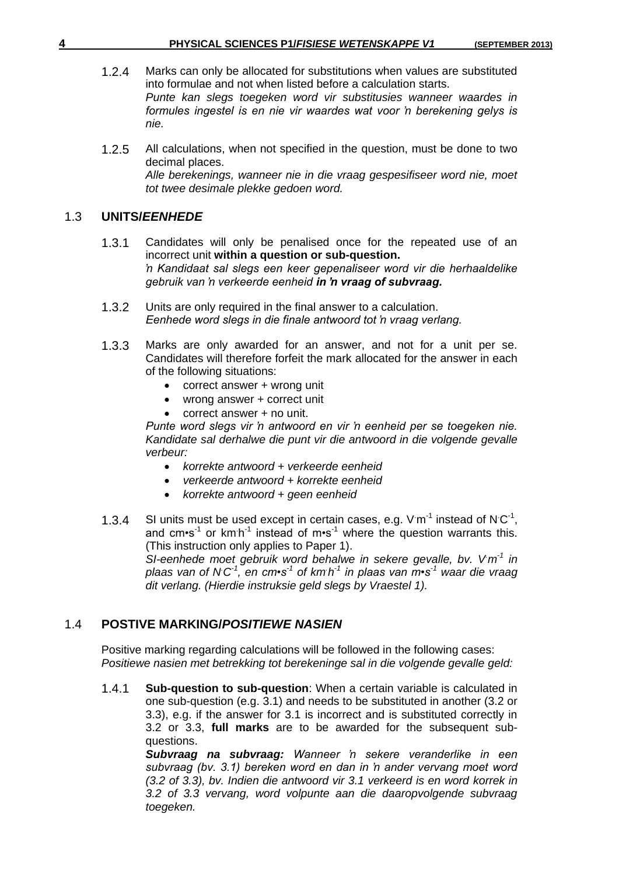- 1.2.4 Marks can only be allocated for substitutions when values are substituted into formulae and not when listed before a calculation starts. *Punte kan slegs toegeken word vir substitusies wanneer waardes in formules ingestel is en nie vir waardes wat voor 'n berekening gelys is nie.*
- 1.2.5 All calculations, when not specified in the question, must be done to two decimal places. *Alle berekenings, wanneer nie in die vraag gespesifiseer word nie, moet tot twee desimale plekke gedoen word.*

#### 1.3 **UNITS/***EENHEDE*

- 1.3.1 Candidates will only be penalised once for the repeated use of an incorrect unit **within a question or sub-question.** *'n Kandidaat sal slegs een keer gepenaliseer word vir die herhaaldelike gebruik van 'n verkeerde eenheid in 'n vraag of subvraag.*
- 1.3.2 Units are only required in the final answer to a calculation. *Eenhede word slegs in die finale antwoord tot 'n vraag verlang.*
- 1.3.3 Marks are only awarded for an answer, and not for a unit per se. Candidates will therefore forfeit the mark allocated for the answer in each of the following situations:
	- correct answer + wrong unit
	- wrong answer + correct unit
	- correct answer + no unit.

*Punte word slegs vir 'n antwoord en vir 'n eenheid per se toegeken nie. Kandidate sal derhalwe die punt vir die antwoord in die volgende gevalle verbeur:*

- *korrekte antwoord + verkeerde eenheid*
- *verkeerde antwoord + korrekte eenheid*
- *korrekte antwoord + geen eenheid*
- 1.3.4 SI units must be used except in certain cases, e.g.  $V \cdot m^{-1}$  instead of N $C^{-1}$ , and cm•s<sup>-1</sup> or km h<sup>-1</sup> instead of m•s<sup>-1</sup> where the question warrants this. (This instruction only applies to Paper 1).

*SI-eenhede moet gebruik word behalwe in sekere gevalle, bv. V* $m<sup>1</sup>$  *in plaas van of N.C -1 , en cm•s-1 of km. h -1 in plaas van m•s-1 waar die vraag dit verlang. (Hierdie instruksie geld slegs by Vraestel 1).*

#### 1.4 **POSTIVE MARKING/***POSITIEWE NASIEN*

Positive marking regarding calculations will be followed in the following cases: *Positiewe nasien met betrekking tot berekeninge sal in die volgende gevalle geld:*

1.4.1 **Sub-question to sub-question**: When a certain variable is calculated in one sub-question (e.g. 3.1) and needs to be substituted in another (3.2 or 3.3), e.g. if the answer for 3.1 is incorrect and is substituted correctly in 3.2 or 3.3, **full marks** are to be awarded for the subsequent subquestions.

> *Subvraag na subvraag: Wanneer 'n sekere veranderlike in een subvraag (bv. 3.1) bereken word en dan in 'n ander vervang moet word (3.2 of 3.3), bv. Indien die antwoord vir 3.1 verkeerd is en word korrek in 3.2 of 3.3 vervang, word volpunte aan die daaropvolgende subvraag toegeken.*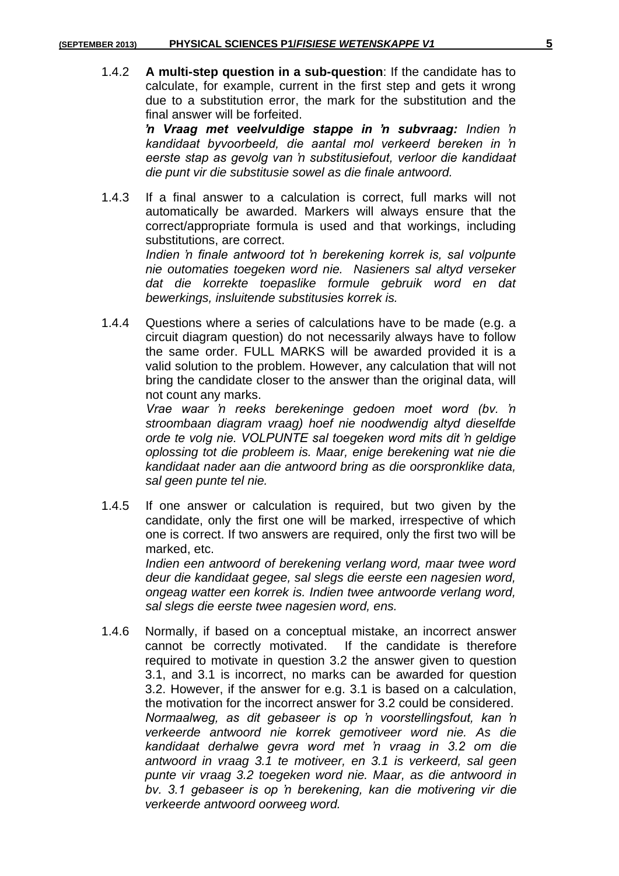1.4.2 **A multi-step question in a sub-question**: If the candidate has to calculate, for example, current in the first step and gets it wrong due to a substitution error, the mark for the substitution and the final answer will be forfeited.

> *'n Vraag met veelvuldige stappe in 'n subvraag: Indien 'n kandidaat byvoorbeeld, die aantal mol verkeerd bereken in 'n eerste stap as gevolg van 'n substitusiefout, verloor die kandidaat die punt vir die substitusie sowel as die finale antwoord.*

1.4.3 If a final answer to a calculation is correct, full marks will not automatically be awarded. Markers will always ensure that the correct/appropriate formula is used and that workings, including substitutions, are correct.

> *Indien 'n finale antwoord tot 'n berekening korrek is, sal volpunte nie outomaties toegeken word nie. Nasieners sal altyd verseker dat die korrekte toepaslike formule gebruik word en dat bewerkings, insluitende substitusies korrek is.*

1.4.4 Questions where a series of calculations have to be made (e.g. a circuit diagram question) do not necessarily always have to follow the same order. FULL MARKS will be awarded provided it is a valid solution to the problem. However, any calculation that will not bring the candidate closer to the answer than the original data, will not count any marks.

> *Vrae waar 'n reeks berekeninge gedoen moet word (bv. 'n stroombaan diagram vraag) hoef nie noodwendig altyd dieselfde orde te volg nie. VOLPUNTE sal toegeken word mits dit 'n geldige oplossing tot die probleem is. Maar, enige berekening wat nie die kandidaat nader aan die antwoord bring as die oorspronklike data, sal geen punte tel nie.*

1.4.5 If one answer or calculation is required, but two given by the candidate, only the first one will be marked, irrespective of which one is correct. If two answers are required, only the first two will be marked, etc.

> *Indien een antwoord of berekening verlang word, maar twee word deur die kandidaat gegee, sal slegs die eerste een nagesien word, ongeag watter een korrek is. Indien twee antwoorde verlang word, sal slegs die eerste twee nagesien word, ens.*

1.4.6 Normally, if based on a conceptual mistake, an incorrect answer cannot be correctly motivated. If the candidate is therefore required to motivate in question 3.2 the answer given to question 3.1, and 3.1 is incorrect, no marks can be awarded for question 3.2. However, if the answer for e.g. 3.1 is based on a calculation, the motivation for the incorrect answer for 3.2 could be considered. *Normaalweg, as dit gebaseer is op 'n voorstellingsfout, kan 'n verkeerde antwoord nie korrek gemotiveer word nie. As die kandidaat derhalwe gevra word met 'n vraag in 3.2 om die antwoord in vraag 3.1 te motiveer, en 3.1 is verkeerd, sal geen punte vir vraag 3.2 toegeken word nie. Maar, as die antwoord in bv. 3.1 gebaseer is op 'n berekening, kan die motivering vir die verkeerde antwoord oorweeg word.*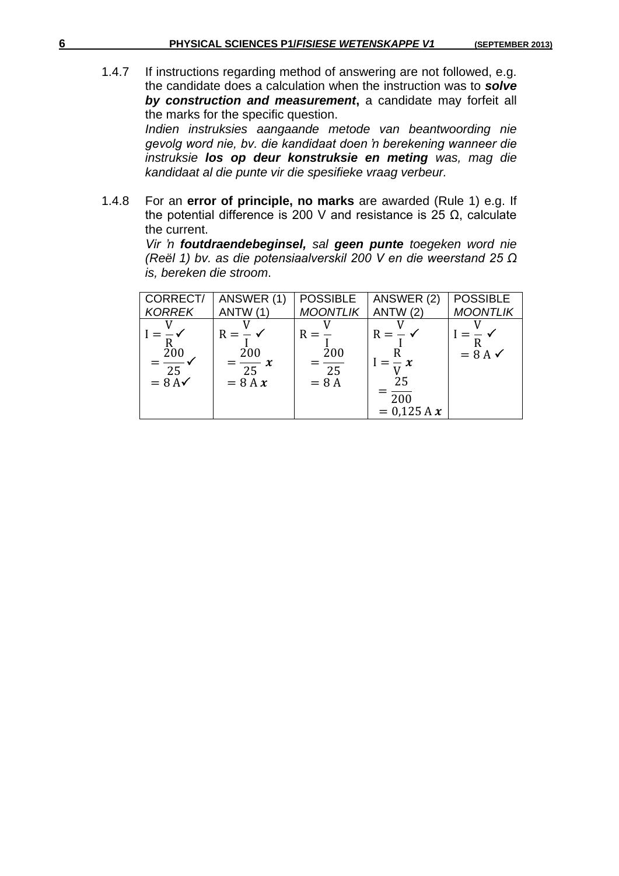1.4.7 If instructions regarding method of answering are not followed, e.g. the candidate does a calculation when the instruction was to *solve by construction and measurement***,** a candidate may forfeit all the marks for the specific question.

> *Indien instruksies aangaande metode van beantwoording nie gevolg word nie, bv. die kandidaat doen 'n berekening wanneer die instruksie los op deur konstruksie en meting was, mag die kandidaat al die punte vir die spesifieke vraag verbeur.*

1.4.8 For an **error of principle, no marks** are awarded (Rule 1) e.g. If the potential difference is 200 V and resistance is 25  $Ω$ , calculate the current.

> *Vir 'n foutdraendebeginsel, sal geen punte toegeken word nie (Reël 1) bv. as die potensiaalverskil 200 V en die weerstand 25 Ω is, bereken die stroom*.

| CORRECT/                                  | ANSWER (1)                                     | <b>POSSIBLE</b>                           | ANSWER (2)                                                  | <b>POSSIBLE</b>    |
|-------------------------------------------|------------------------------------------------|-------------------------------------------|-------------------------------------------------------------|--------------------|
| <b>KORREK</b>                             | ANTW (1)                                       | <b>MOONTLIK</b>                           | ANTW(2)                                                     | <b>MOONTLIK</b>    |
| $=\frac{200}{25}$<br>$= 8$ A $\checkmark$ | $R = -$<br>200<br>$=\frac{1}{25}x$<br>$= 8A x$ | $R =$<br>200<br>$\overline{25}$<br>$= 8A$ | $R = -$<br>$= x$<br>25<br>$\overline{200}$<br>$= 0.125 A x$ | $= 8 A \checkmark$ |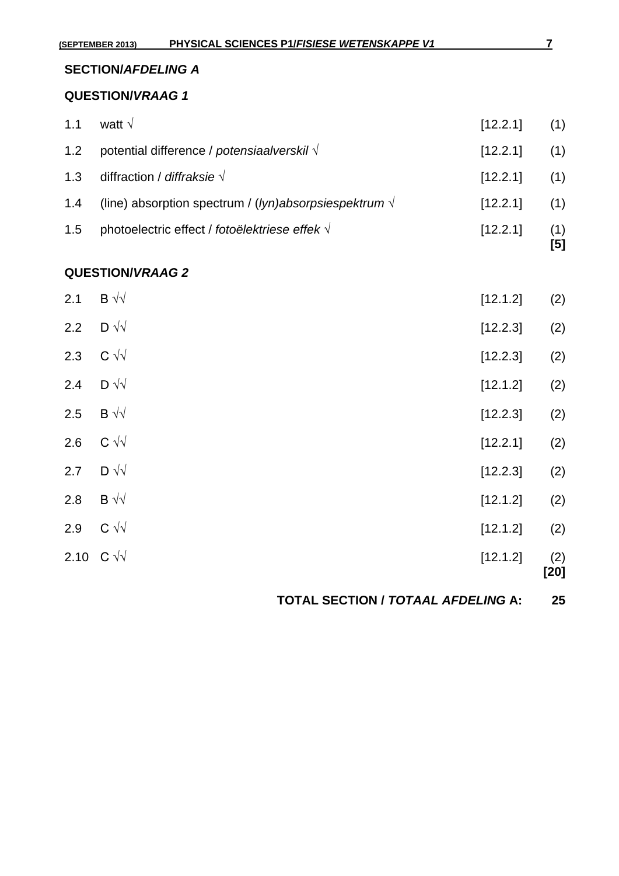# **SECTION/***AFDELING A*

#### **QUESTION/***VRAAG 1*

|     |                                                                |              | [5] |
|-----|----------------------------------------------------------------|--------------|-----|
| 1.5 | photoelectric effect / fotoëlektriese effek √                  | [12.2.1]     | (1) |
| 1.4 | (line) absorption spectrum / (lyn)absorpsiespektrum $\sqrt{ }$ | [12.2.1]     | (1) |
| 1.3 | diffraction / <i>diffraksie</i> $\sqrt{}$                      | [12.2.1] (1) |     |
| 1.2 | potential difference / potensiaalverskil $\sqrt{ }$            | [12.2.1]     | (1) |
| 1.1 | watt $\sqrt{}$                                                 | [12.2.1] (1) |     |

## **QUESTION/***VRAAG 2*

| 2.10 $C \sqrt{v}$ |                              | [12.1.2] | (2)<br>$[20]$ |
|-------------------|------------------------------|----------|---------------|
| 2.9               | $C \sqrt{2}$                 | [12.1.2] | (2)           |
| 2.8               | $\mathsf B \rightsquigarrow$ | [12.1.2] | (2)           |
| 2.7               | $\mathsf{D} \sqrt{\sqrt{2}}$ | [12.2.3] | (2)           |
| 2.6               | $C \sqrt{2}$                 | [12.2.1] | (2)           |
| 2.5               | $B \sqrt{2}$                 | [12.2.3] | (2)           |
| 2.4               | $D \sqrt{2}$                 | [12.1.2] | (2)           |
| 2.3               | $C \sqrt{2}$                 | [12.2.3] | (2)           |
| 2.2               | $D \sqrt{2}$                 | [12.2.3] | (2)           |
| 2.1               | $B \sqrt{v}$                 | [12.1.2] | (2)           |

**TOTAL SECTION /** *TOTAAL AFDELING* **A: 25**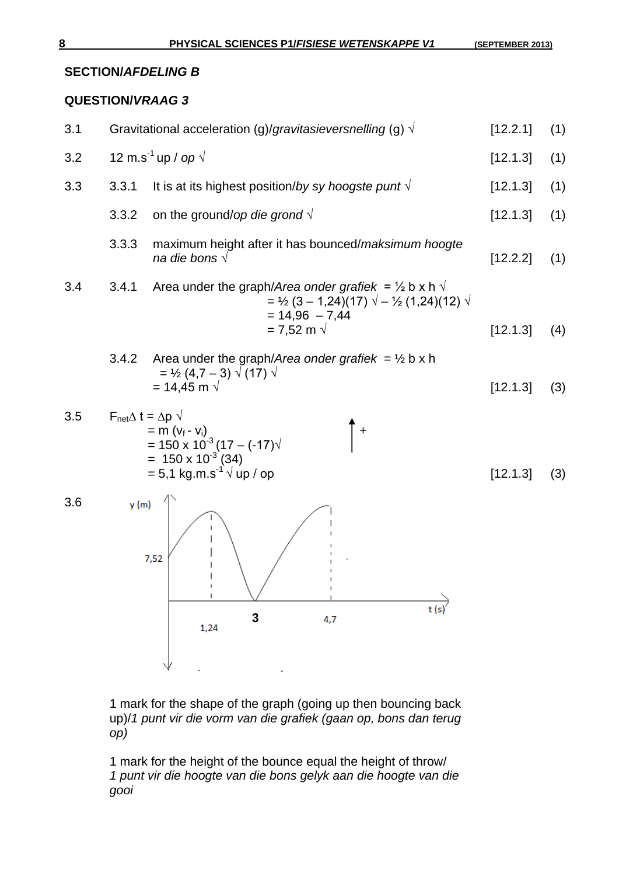#### **SECTION/***AFDELING B*

## **QUESTION/***VRAAG 3*

| 3.1 |                                              |                                                                                                                                                                             | Gravitational acceleration (g)/gravitasieversnelling (g) $\sqrt{ }$                                                                                                                                      | [12.2.1] | (1) |
|-----|----------------------------------------------|-----------------------------------------------------------------------------------------------------------------------------------------------------------------------------|----------------------------------------------------------------------------------------------------------------------------------------------------------------------------------------------------------|----------|-----|
| 3.2 |                                              | 12 m.s <sup>-1</sup> up / op $\sqrt{ }$                                                                                                                                     |                                                                                                                                                                                                          | [12.1.3] | (1) |
| 3.3 | 3.3.1                                        |                                                                                                                                                                             | It is at its highest position/by sy hoogste punt $\sqrt{ }$                                                                                                                                              | [12.1.3] | (1) |
|     | 3.3.2                                        | on the ground/op die grond $\sqrt{ }$                                                                                                                                       |                                                                                                                                                                                                          | [12.1.3] | (1) |
|     | 3.3.3                                        | na die bons $\sqrt{}$                                                                                                                                                       | maximum height after it has bounced/maksimum hoogte                                                                                                                                                      | [12.2.2] | (1) |
| 3.4 | 3.4.1                                        |                                                                                                                                                                             | Area under the graph/Area onder grafiek = $\frac{1}{2}$ b x h $\sqrt{ }$<br>$=$ 1/ <sub>2</sub> (3 – 1,24)(17) $\sqrt{ } - \frac{1}{2}$ (1,24)(12) $\sqrt{ }$<br>$= 14,96 - 7,44$<br>= 7,52 m $\sqrt{ }$ | [12.1.3] | (4) |
|     | 3.4.2                                        | $=$ 1/ <sub>2</sub> (4,7 – 3) $\sqrt{(17)}$ $\sqrt{(17)}$<br>= 14,45 m $\sqrt{ }$                                                                                           | Area under the graph/Area onder grafiek = $\frac{1}{2}$ b x h                                                                                                                                            | [12.1.3] | (3) |
| 3.5 | $F_{\text{net}}\Delta t = \Delta p \sqrt{ }$ | = m (v <sub>f</sub> - v <sub>i</sub> )<br>= 150 x 10 <sup>-3</sup> (17 – (-17) $\sqrt{ }$<br>= 150 x 10 <sup>-3</sup> (34)<br>$= 5.1$ kg m s <sup>-1</sup> $\sqrt{up}$ / op | $+$                                                                                                                                                                                                      | [12.1.3] | (3) |
| 3.6 | y(m)                                         | 7,52<br>3<br>1,24                                                                                                                                                           | 4,7                                                                                                                                                                                                      |          |     |

1 mark for the shape of the graph (going up then bouncing back up)/*1 punt vir die vorm van die grafiek (gaan op, bons dan terug op)*

1 mark for the height of the bounce equal the height of throw/ *1 punt vir die hoogte van die bons gelyk aan die hoogte van die gooi*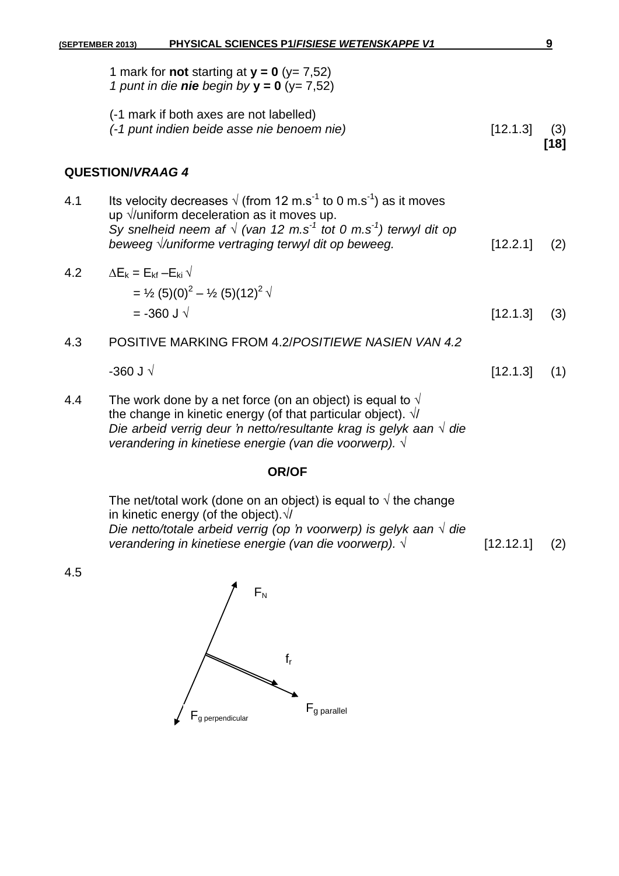|     | 1 mark for <b>not</b> starting at $y = 0$ ( $y = 7,52$ )<br>1 punt in die nie begin by $y = 0$ (y= 7,52)                                                                                                                                                                                     |          |             |
|-----|----------------------------------------------------------------------------------------------------------------------------------------------------------------------------------------------------------------------------------------------------------------------------------------------|----------|-------------|
|     | (-1 mark if both axes are not labelled)<br>(-1 punt indien beide asse nie benoem nie)                                                                                                                                                                                                        | [12.1.3] | (3)<br>[18] |
|     | <b>QUESTION/VRAAG 4</b>                                                                                                                                                                                                                                                                      |          |             |
| 4.1 | Its velocity decreases $\sqrt{(}$ (from 12 m.s <sup>-1</sup> to 0 m.s <sup>-1</sup> ) as it moves<br>up $\sqrt{}$ uniform deceleration as it moves up.<br>Sy snelheid neem af $\sqrt{(van 12 m.s^1 tot 0 m.s^1)}$ terwyl dit op<br>beweeg <i>Vuniforme vertraging terwyl dit op beweeg</i> . | [12.2.1] | (2)         |
| 4.2 | $\Delta E_{\rm k} = E_{\rm kf} - E_{\rm ki} \sqrt{\frac{E_{\rm k}}{E_{\rm ki}}}$<br>$=$ 1/ <sub>2</sub> (5)(0) <sup>2</sup> – 1/ <sub>2</sub> (5)(12) <sup>2</sup> $\sqrt{ }$<br>$=$ -360 J $\sqrt{ }$                                                                                       | [12.1.3] | (3)         |
| 4.3 | POSITIVE MARKING FROM 4.2/POSITIEWE NASIEN VAN 4.2                                                                                                                                                                                                                                           |          |             |
|     | -360 J $\sqrt$                                                                                                                                                                                                                                                                               | [12.1.3] | (1)         |
|     |                                                                                                                                                                                                                                                                                              |          |             |

4.4 The work done by a net force (on an object) is equal to  $\sqrt{ }$ the change in kinetic energy (of that particular object). √/ *Die arbeid verrig deur 'n netto/resultante krag is gelyk aan √ die verandering in kinetiese energie (van die voorwerp). √*

#### **OR/OF**

| The net/total work (done on an object) is equal to $\sqrt{ }$ the change    |           |     |
|-----------------------------------------------------------------------------|-----------|-----|
| in kinetic energy (of the object). $\sqrt{ }$                               |           |     |
| Die netto/totale arbeid verrig (op 'n voorwerp) is gelyk aan $\sqrt{ }$ die |           |     |
| verandering in kinetiese energie (van die voorwerp). $\sqrt{ }$             | [12.12.1] | (2) |

4.5

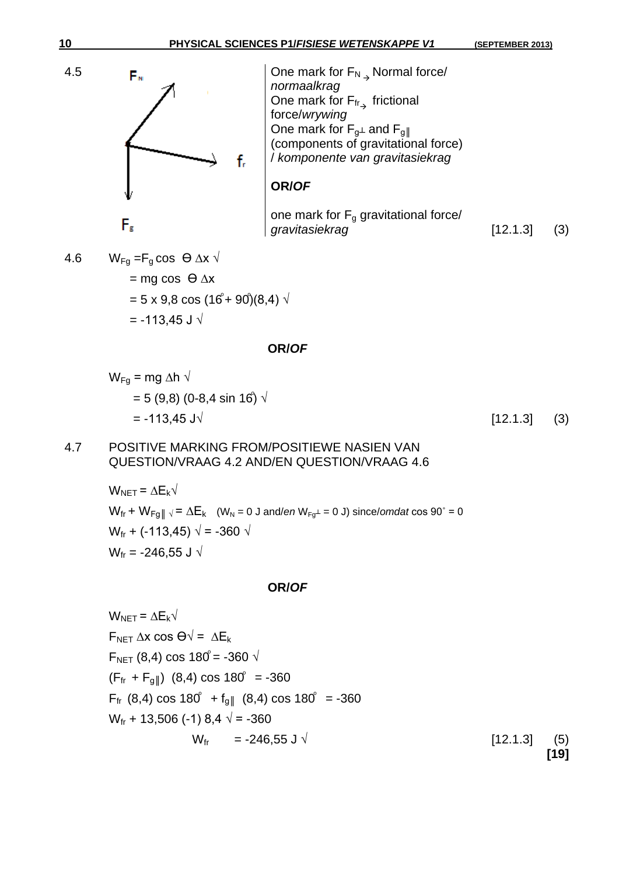

4.6 WFg =Fg cos Ө ∆x √ = mg cos Ө ∆x = 5 x 9,8 cos (16 + 90 )(8,4) √ = -113,45 J √

#### **OR/***OF*

$$
W_{Fg}
$$
 = mg Δh  $\sqrt{ }$   
= 5 (9,8) (0-8,4 sin 16)  $\sqrt{ }$   
= -113,45 J $\sqrt{ }$ 

 $[12.1.3]$  (3)

## 4.7 POSITIVE MARKING FROM/POSITIEWE NASIEN VAN QUESTION/VRAAG 4.2 AND/EN QUESTION/VRAAG 4.6

$$
W_{NET} = \Delta E_k \sqrt{W_{fr} + W_{Fg||} \sqrt{= \Delta E_k} \quad (W_N = 0 \text{ J and/en } W_{Fg^{\perp}} = 0 \text{ J}) \text{ since/omdat } \cos 90^{\circ} = 0
$$
  

$$
W_{fr} + (-113,45) \sqrt{= -360} \sqrt{}
$$
  

$$
W_{fr} = -246,55 \text{ J} \sqrt{}
$$

#### **OR/***OF*

$$
W_{NET} = \Delta E_{k} \sqrt{F_{NET} \Delta x \cos \Theta} = \Delta E_{k}
$$
  
\n
$$
F_{NET} (8,4) \cos 180^{\circ} = -360 \sqrt{F_{fr} + F_{g}} \quad (8,4) \cos 180^{\circ} = -360
$$
  
\n
$$
F_{fr} (8,4) \cos 180^{\circ} + f_{g} \quad (8,4) \cos 180^{\circ} = -360
$$
  
\n
$$
W_{fr} + 13,506 (-1) 8,4 \sqrt{F} = -360
$$
  
\n
$$
W_{fr} = -246,55 \text{ J} \sqrt{F_{fr} (12.1.3)}
$$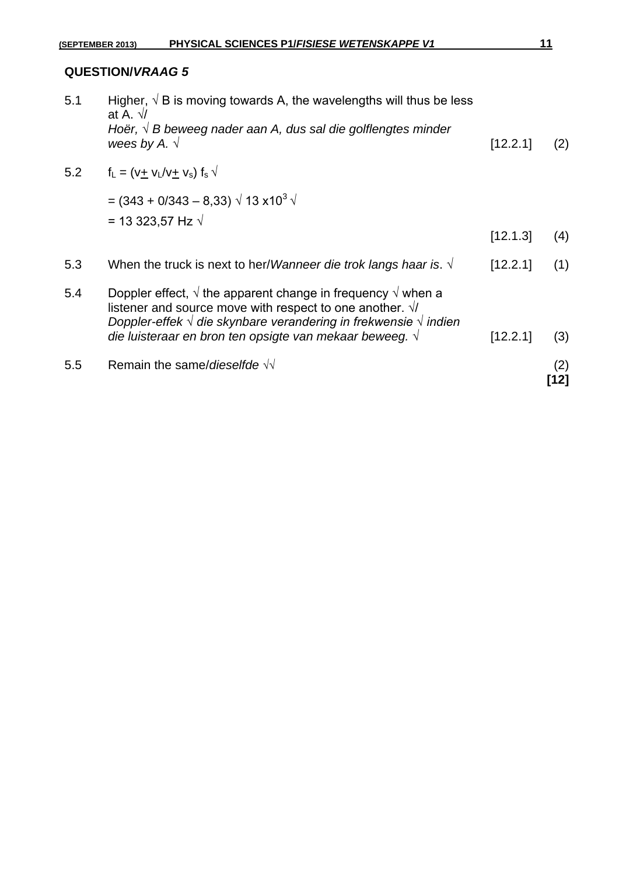| 5.5 | Remain the same/dieselfde $\sqrt{v}$                                                                                                                                                                                                                                                                     |          | (2)<br>้12] |
|-----|----------------------------------------------------------------------------------------------------------------------------------------------------------------------------------------------------------------------------------------------------------------------------------------------------------|----------|-------------|
| 5.4 | Doppler effect, $\sqrt{}$ the apparent change in frequency $\sqrt{}$ when a<br>listener and source move with respect to one another. $\sqrt{ }$<br>Doppler-effek $\sqrt{ }$ die skynbare verandering in frekwensie $\sqrt{ }$ indien<br>die luisteraar en bron ten opsigte van mekaar beweeg. $\sqrt{ }$ | [12.2.1] | (3)         |
| 5.3 | When the truck is next to her/Wanneer die trok langs haar is. $\sqrt{ }$                                                                                                                                                                                                                                 | [12.2.1] | (1)         |
|     | = $(343 + 0/343 - 8.33) \sqrt{13 \times 10^3} \sqrt{13 \times 10^3}$<br>= 13 323,57 Hz $\sqrt{ }$                                                                                                                                                                                                        | [12.1.3] | (4)         |
| 5.2 | $f_L = (V + V_L/V + V_s) f_s V$                                                                                                                                                                                                                                                                          |          |             |
| 5.1 | Higher, $\sqrt{B}$ is moving towards A, the wavelengths will thus be less<br>at A. $\sqrt{ }$<br>Hoër, $\sqrt{B}$ beweeg nader aan A, dus sal die golflengtes minder<br>wees by A. $\sqrt{ }$                                                                                                            | [12.2.1] | (2)         |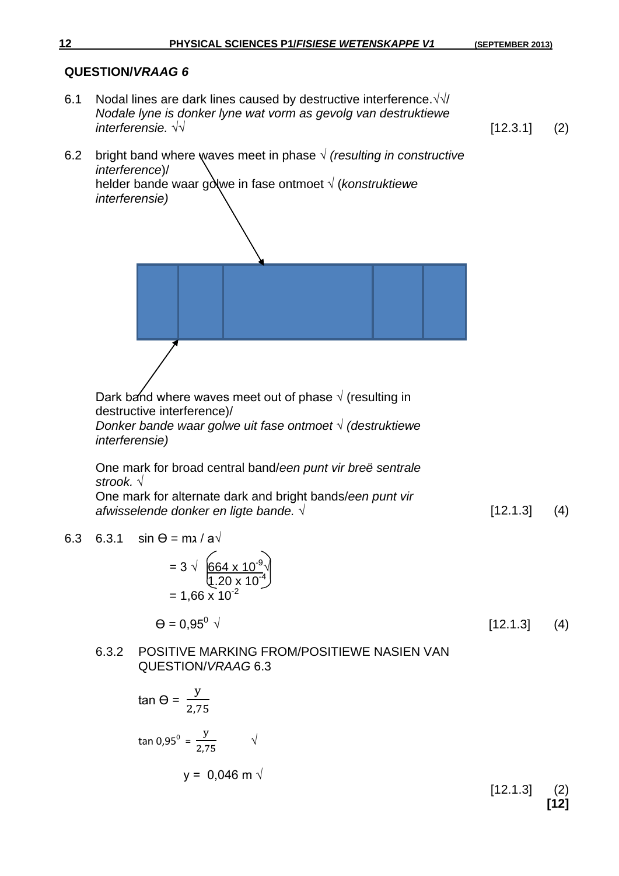6.1 Nodal lines are dark lines caused by destructive interference. $\sqrt{\sqrt{}}$ *Nodale lyne is donker lyne wat vorm as gevolg van destruktiewe interferensie. √√* [12.3.1] (2)

6.2 bright band where waves meet in phase 
$$
\sqrt{}
$$
 (resulting in constructive  
interference)  
helder bande waar golve in fase ontmoet  $\sqrt{}$  (konstruktiewe  
interference)  
interference)  
Orak of and where waves meet out of phase  $\sqrt{}$  (resulting in  
destructive interference)  
Donker bande waar golwe uit fase ontmoet  $\sqrt{}$  (destruktiewe  
interference)  
One mark for broad central band/een punt vir breë sentrale  
stroto.  
One mark for alternate dark and bright bands/een punt vir  
alwayselende donker en ligte bande.  $\sqrt{}$   
6.3 6.3.1 sin  $\theta$  = m*i* | a  $\sqrt{}$   
= 3  $\sqrt{\frac{664 \times 10^{-3}}{2.20 \times 10^{-3}}}$   
= 1,66  $\times$  10<sup>-2</sup>  
 $\theta$  = 0,95<sup>0</sup>  $\sqrt{}$   
6.3.2 POSITIVE MARKING FROMPOSITIVE WASIEN VAN  
QUESTION/VRAAG 6.3  
tan  $\theta$  =  $\frac{y}{2.75}$   
tan 0.95<sup>o</sup> =  $\frac{y}{2.75}$   
 $\sqrt{}$   
 $y$  = 0,046 m  $\sqrt{}$  [12.1.3] (2)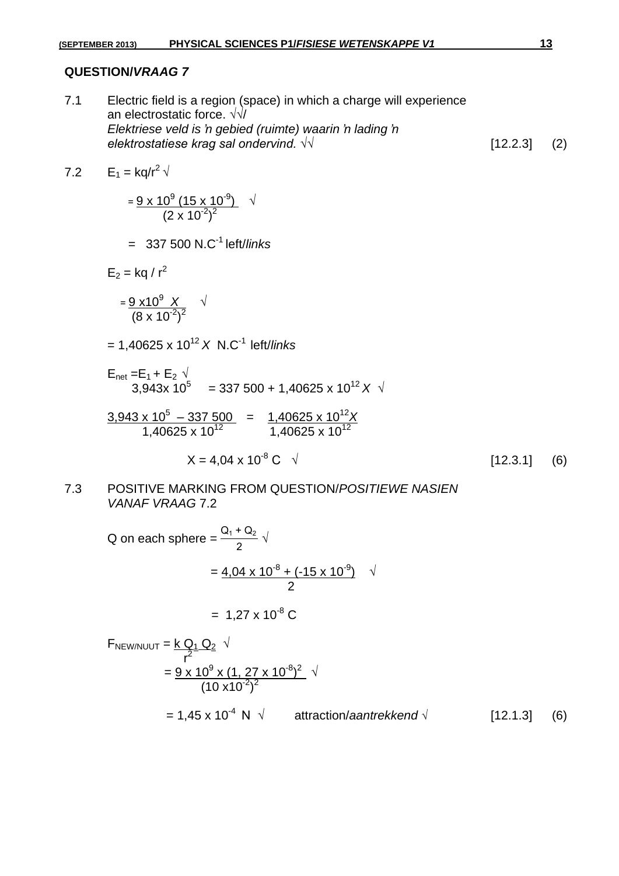7.1 Electric field is a region (space) in which a charge will experience an electrostatic force. √√/ *Elektriese veld is 'n gebied (ruimte) waarin 'n lading 'n elektrostatiese krag sal ondervind.* √√ [12.2.3] (2)

7.2  $E_1 = \frac{kq}{r^2} \sqrt{r^2}$ 

$$
=\frac{9 \times 10^{9} (15 \times 10^{-9})}{(2 \times 10^{-2})^{2}} \quad \sqrt{}
$$

= 337 500 N.C-1 left/*links*

 $E_2 =$  kg / r<sup>2</sup>

$$
=\frac{9\times10^{9} \text{ X}}{(8\times10^{-2})^{2}} \text{ V}
$$

 $= 1,40625 \times 10^{12} \times N.C^{-1}$  left/*links* 

 $(10 \times 10^{-2})^2$ 

$$
E_{\text{net}} = E_1 + E_2 \sqrt{3.943 \times 10^5} = 337\,500 + 1,40625 \times 10^{12} \times \sqrt{3}
$$

$$
\frac{3,943 \times 10^5 - 337\,500}{1,40625 \times 10^{12}} = \frac{1,40625 \times 10^{12} X}{1,40625 \times 10^{12}}
$$

$$
X = 4,04 \times 10^{-8} \text{ C} \quad \sqrt{ }
$$
 [12.3.1] (6)

#### 7.3 POSITIVE MARKING FROM QUESTION/*POSITIEWE NASIEN VANAF VRAAG* 7.2

Q on each sphere = 
$$
\frac{Q_1 + Q_2}{2}
$$
  $\sqrt{\frac{Q_1 Q_2 + Q_3 Q_4}{2}}$   
=  $\frac{4.04 \times 10^{-8} + (-15 \times 10^{-9})}{2}$   $\sqrt{\frac{Q_1 Q_2}{r^2}}$   
=  $1.27 \times 10^{-8}$  C  
=  $\frac{Q_1 Q_2}{r^2} \sqrt{\frac{Q_2 Q_2}{r^2}}$   $\sqrt{\frac{Q_1 Q_2 Q_3}{r^2}}$ 

$$
= 1,45 \times 10^{-4} \text{ N } \sqrt{\text{attraction/}} = 1,45 \times 10^{-4} \text{ N } \sqrt{\text{attraction/}} = 1,45 \times 10^{-4} \text{ N } \sqrt{\text{atimation/}} = 1,45 \times 10^{-4} \text{ N } \sqrt{\text{atimation/}} = 1,45 \times 10^{-4} \text{ N } \sqrt{\text{atimation/}} = 1,45 \times 10^{-4} \text{ N } \sqrt{\text{atimation/}} = 1,45 \times 10^{-4} \text{ N } \sqrt{\text{atimation/}} = 1,45 \times 10^{-4} \text{ N } \sqrt{\text{atimation/}} = 1,45 \times 10^{-4} \text{ N } \sqrt{\text{atimation/}} = 1,45 \times 10^{-4} \text{ N } \sqrt{\text{atimation/}} = 1,45 \times 10^{-4} \text{ N } \sqrt{\text{atimation/}} = 1,45 \times 10^{-4} \text{ N } \sqrt{\text{atimation/}} = 1,45 \times 10^{-4} \text{ N } \sqrt{\text{atimation/}} = 1,45 \times 10^{-4} \text{ N } \sqrt{\text{atimation/}} = 1,45 \times 10^{-4} \text{ N } \sqrt{\text{atimation/}} = 1,45 \times 10^{-4} \text{ N } \sqrt{\text{atimation/}} = 1,45 \times 10^{-4} \text{ N } \sqrt{\text{atimation/}} = 1
$$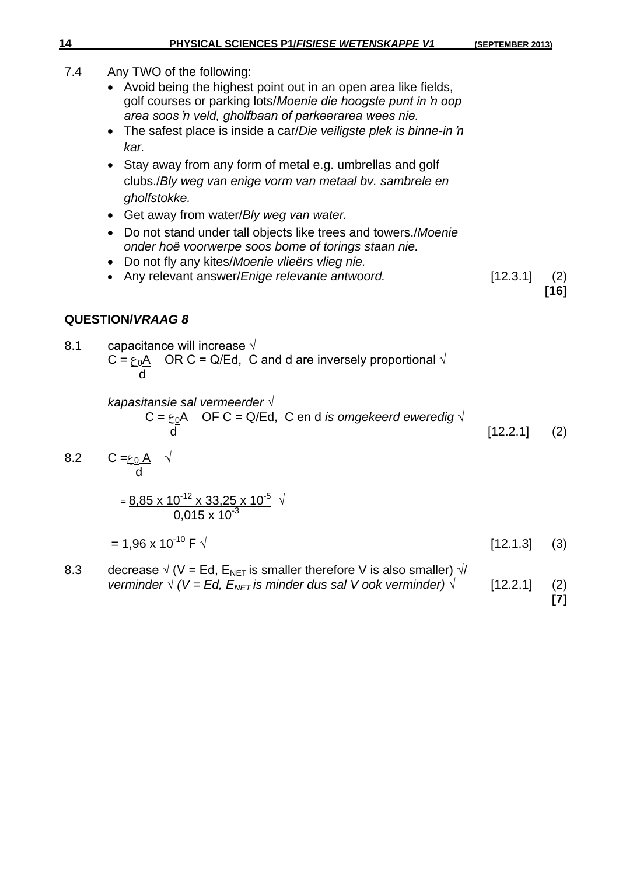- 7.4 Any TWO of the following:
	- Avoid being the highest point out in an open area like fields, golf courses or parking lots/*Moenie die hoogste punt in 'n oop area soos 'n veld, gholfbaan of parkeerarea wees nie.*
	- The safest place is inside a car/*Die veiligste plek is binne-in 'n kar.*
	- Stay away from any form of metal e.g. umbrellas and golf clubs./*Bly weg van enige vorm van metaal bv. sambrele en gholfstokke.*
	- Get away from water/*Bly weg van water.*
	- Do not stand under tall objects like trees and towers./*Moenie onder hoë voorwerpe soos bome of torings staan nie.*
	- Do not fly any kites/*Moenie vlieërs vlieg nie.*
	- Any relevant answer/*Enige relevante antwoord.* [12.3.1] (2)

**[16]**

# **QUESTION/***VRAAG 8*

8.1 capacitance will increase  $\sqrt{ }$ C =  $\epsilon_0A$  OR C = Q/Ed, C and d are inversely proportional  $\sqrt{ }$ d

> *kapasitansie sal vermeerder* √  $C = \underline{\epsilon_0 A}$  OF C = Q/Ed, C en d *is omgekeerd eweredig*  $\sqrt{ }$ d [12.2.1] (2)

8.2 
$$
C = \frac{\epsilon_0 A}{d}
$$
   
\n
$$
= \frac{8.85 \times 10^{-12} \times 33.25 \times 10^{-5}}{0.015 \times 10^{-3}}
$$

$$
= 1,96 \times 10^{-10} \text{ F } \sqrt{ }
$$
 [12.1.3] (3)

8.3 decrease  $\sqrt{(V - Ed)}$ ,  $E_{NET}$  is smaller therefore V is also smaller)  $\sqrt{V}$ *verminder*  $\sqrt{(V = Ed, E_{NET} i s \text{ minder dus sal V ook verminder}) \sqrt{(12.2.1)} (2)}$ **[7]**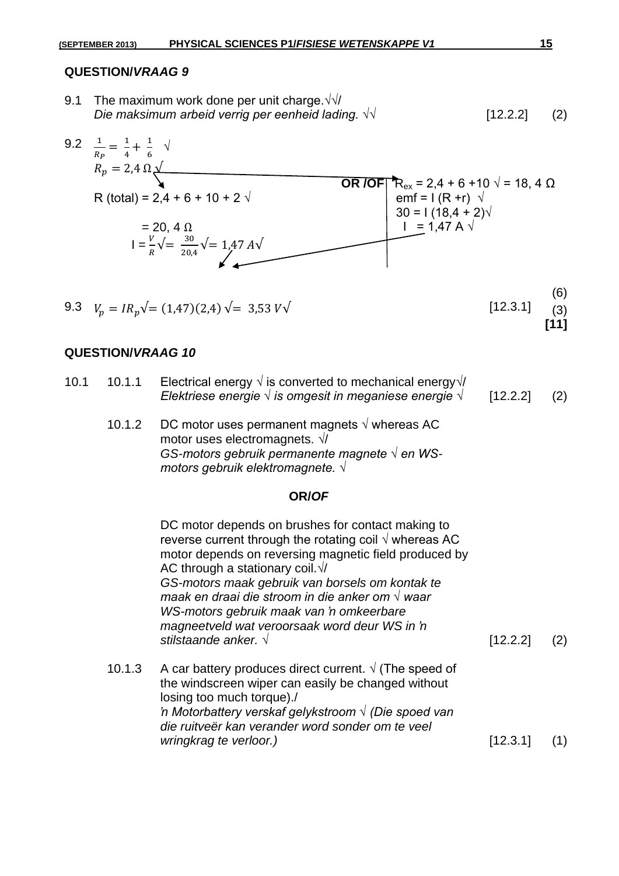9.1 The maximum work done per unit charge.  $\sqrt{\sqrt{}}$ *Die maksimum arbeid verrig per eenheid lading.*  $\sqrt{$  *[12.2.2]* (2)



# **QUESTION/***VRAAG 10*

| 10.1 | 10.1.1 Electrical energy $\sqrt{ }$ is converted to mechanical energy $\sqrt{ }$ |              |  |
|------|----------------------------------------------------------------------------------|--------------|--|
|      | Elektriese energie $\sqrt{}$ is omgesit in meganiese energie $\sqrt{}$           | [12.2.2] (2) |  |
|      |                                                                                  |              |  |

10.1.2 DC motor uses permanent magnets  $\sqrt{ }$  whereas AC motor uses electromagnets. √/ *GS-motors gebruik permanente magnete √ en WSmotors gebruik elektromagnete. √*

#### **OR/***OF*

DC motor depends on brushes for contact making to reverse current through the rotating coil  $\sqrt{ }$  whereas AC motor depends on reversing magnetic field produced by AC through a stationary coil. $\sqrt{}$ *GS-motors maak gebruik van borsels om kontak te maak en draai die stroom in die anker om √ waar WS-motors gebruik maak van 'n omkeerbare magneetveld wat veroorsaak word deur WS in 'n stilstaande anker. √* [12.2.2] (2) 10.1.3 A car battery produces direct current.  $\sqrt{(}$  The speed of the windscreen wiper can easily be changed without losing too much torque)./ *'n Motorbattery verskaf gelykstroom √ (Die spoed van die ruitveër kan verander word sonder om te veel wringkrag te verloor.)* [12.3.1] (1)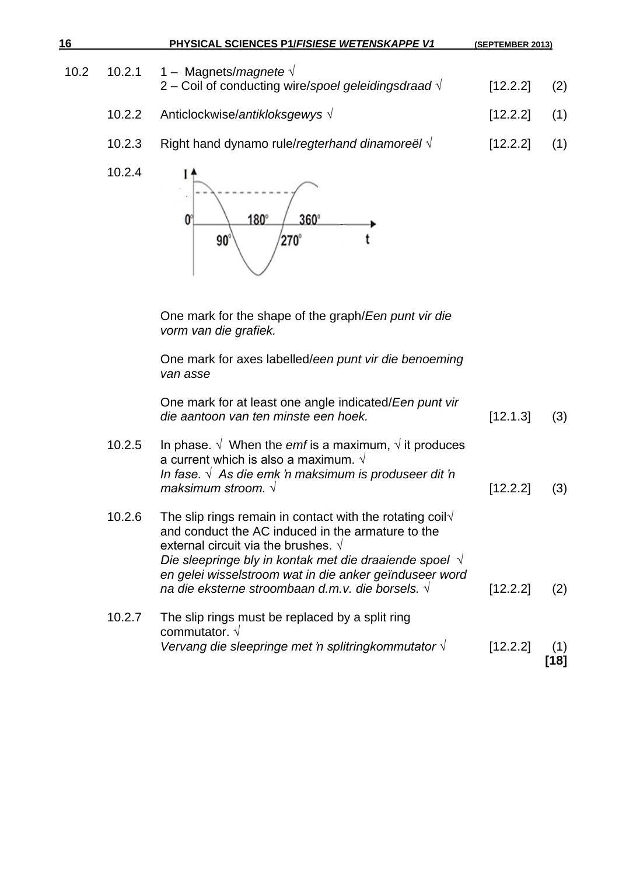| 16   |        | PHYSICAL SCIENCES P1/FISIESE WETENSKAPPE V1                                                                                                                                                                                                                                                                                                                       | (SEPTEMBER 2013) |             |
|------|--------|-------------------------------------------------------------------------------------------------------------------------------------------------------------------------------------------------------------------------------------------------------------------------------------------------------------------------------------------------------------------|------------------|-------------|
| 10.2 | 10.2.1 | 1 - Magnets/magnete $\sqrt{ }$<br>2 – Coil of conducting wire/spoel geleidingsdraad $\sqrt{ }$                                                                                                                                                                                                                                                                    | [12.2.2]         | (2)         |
|      | 10.2.2 | Anticlockwise/antikloksgewys √                                                                                                                                                                                                                                                                                                                                    | [12.2.2]         | (1)         |
|      | 10.2.3 | Right hand dynamo rule/regterhand dinamoreël $\sqrt{ }$                                                                                                                                                                                                                                                                                                           | [12.2.2]         | (1)         |
|      | 10.2.4 | 180°<br>360°<br>O<br>270°<br>90                                                                                                                                                                                                                                                                                                                                   |                  |             |
|      |        | One mark for the shape of the graph/Een punt vir die<br>vorm van die grafiek.                                                                                                                                                                                                                                                                                     |                  |             |
|      |        | One mark for axes labelled/een punt vir die benoeming<br>van asse                                                                                                                                                                                                                                                                                                 |                  |             |
|      |        | One mark for at least one angle indicated/Een punt vir<br>die aantoon van ten minste een hoek.                                                                                                                                                                                                                                                                    | [12.1.3]         | (3)         |
|      | 10.2.5 | In phase. $\sqrt{\ }$ When the <i>emf</i> is a maximum, $\sqrt{\ }$ it produces<br>a current which is also a maximum. $\sqrt{ }$<br>In fase. $\sqrt{ }$ As die emk 'n maksimum is produseer dit 'n<br>maksimum stroom. $\sqrt{}$                                                                                                                                  | [12.2.2]         | (3)         |
|      | 10.2.6 | The slip rings remain in contact with the rotating coil $\sqrt{ }$<br>and conduct the AC induced in the armature to the<br>external circuit via the brushes. $\sqrt{ }$<br>Die sleepringe bly in kontak met die draaiende spoel $\sqrt{ }$<br>en gelei wisselstroom wat in die anker geïnduseer word<br>na die eksterne stroombaan d.m.v. die borsels. $\sqrt{ }$ | [12.2.2]         | (2)         |
|      | 10.2.7 | The slip rings must be replaced by a split ring<br>commutator. $\sqrt{ }$<br>Vervang die sleepringe met 'n splitringkommutator $\sqrt{ }$                                                                                                                                                                                                                         | [12.2.2]         | (1)<br>[18] |
|      |        |                                                                                                                                                                                                                                                                                                                                                                   |                  |             |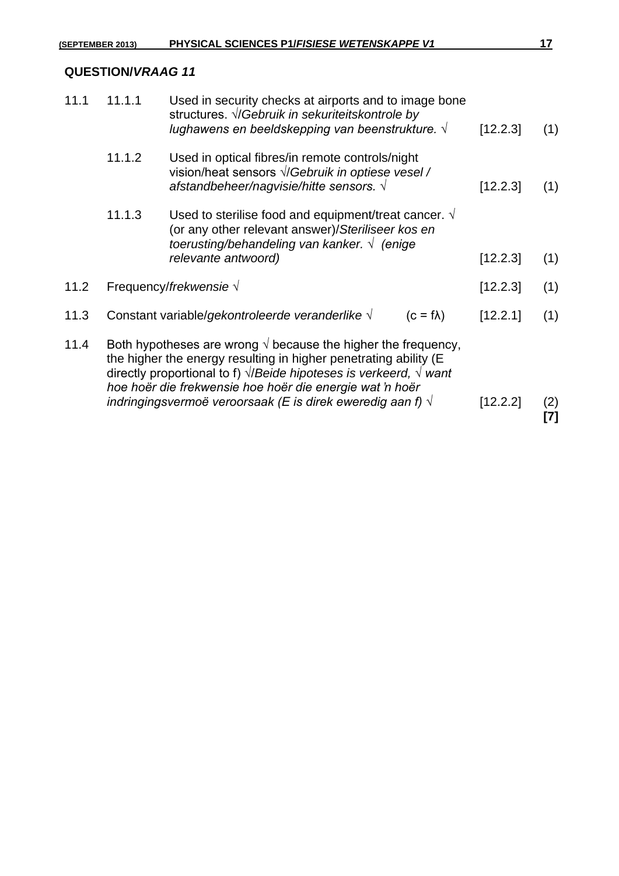| 11.1.1 | Used in security checks at airports and to image bone<br>structures. <i>V/Gebruik in sekuriteitskontrole by</i><br>lughawens en beeldskepping van beenstrukture. $\sqrt{ }$ |                                                                                                                 | [12.2.3]                                                                                                                                                                                                                                                                                                                                                                                                                    | (1)        |
|--------|-----------------------------------------------------------------------------------------------------------------------------------------------------------------------------|-----------------------------------------------------------------------------------------------------------------|-----------------------------------------------------------------------------------------------------------------------------------------------------------------------------------------------------------------------------------------------------------------------------------------------------------------------------------------------------------------------------------------------------------------------------|------------|
| 11.1.2 | Used in optical fibres/in remote controls/night<br>vision/heat sensors $\sqrt{G}$ <i>ebruik in optiese vesel</i> /<br>afstandbeheer/nagvisie/hitte sensors. $\sqrt{ }$      |                                                                                                                 | [12.2.3]                                                                                                                                                                                                                                                                                                                                                                                                                    | (1)        |
| 11.1.3 | Used to sterilise food and equipment/treat cancer. $\sqrt{ }$<br>(or any other relevant answer)/Steriliseer kos en                                                          |                                                                                                                 |                                                                                                                                                                                                                                                                                                                                                                                                                             |            |
|        |                                                                                                                                                                             |                                                                                                                 |                                                                                                                                                                                                                                                                                                                                                                                                                             | (1)        |
|        |                                                                                                                                                                             |                                                                                                                 | [12.2.3]                                                                                                                                                                                                                                                                                                                                                                                                                    | (1)        |
|        |                                                                                                                                                                             | $(c = f\lambda)$                                                                                                | [12.2.1]                                                                                                                                                                                                                                                                                                                                                                                                                    | (1)        |
|        |                                                                                                                                                                             |                                                                                                                 | [12.2.2]                                                                                                                                                                                                                                                                                                                                                                                                                    | (2)<br>[7] |
|        |                                                                                                                                                                             | relevante antwoord)<br>Frequency/frekwensie $\sqrt$<br>Constant variable/gekontroleerde veranderlike $\sqrt{ }$ | toerusting/behandeling van kanker. $\sqrt{ }$ (enige<br>Both hypotheses are wrong $\sqrt{ }$ because the higher the frequency,<br>the higher the energy resulting in higher penetrating ability (E<br>directly proportional to f) $\sqrt{B}$ eide hipoteses is verkeerd, $\sqrt{B}$ want<br>hoe hoër die frekwensie hoe hoër die energie wat 'n hoër<br>indringingsvermoë veroorsaak (E is direk eweredig aan f) $\sqrt{ }$ | [12.2.3]   |